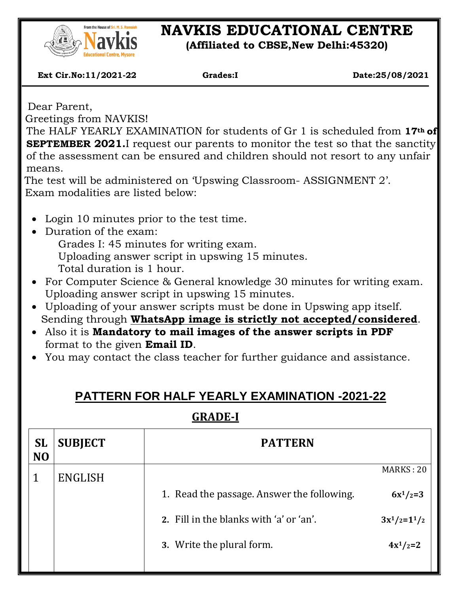

## **NAVKIS EDUCATIONAL CENTRE**

**(Affiliated to CBSE,New Delhi:45320)**

 **Ext Cir.No:11/2021-22 Grades:I Date:25/08/2021**

Dear Parent,

 $\overline{\phantom{a}}$ 

Greetings from NAVKIS!

The HALF YEARLY EXAMINATION for students of Gr 1 is scheduled from **17th of SEPTEMBER 2021.**I request our parents to monitor the test so that the sanctity of the assessment can be ensured and children should not resort to any unfair means.

The test will be administered on 'Upswing Classroom- ASSIGNMENT 2'. Exam modalities are listed below:

- Login 10 minutes prior to the test time.
- Duration of the exam:

Grades I: 45 minutes for writing exam.

Uploading answer script in upswing 15 minutes.

- Total duration is 1 hour.
- For Computer Science & General knowledge 30 minutes for writing exam. Uploading answer script in upswing 15 minutes.
- Uploading of your answer scripts must be done in Upswing app itself. Sending through **WhatsApp image is strictly not accepted/considered**.
- Also it is **Mandatory to mail images of the answer scripts in PDF** format to the given **Email ID**.
- You may contact the class teacher for further guidance and assistance.

## **PATTERN FOR HALF YEARLY EXAMINATION -2021-22**

## **GRADE-I**

| <b>SL</b><br>N <sub>O</sub> | <b>SUBJECT</b> | <b>PATTERN</b>                             |                |
|-----------------------------|----------------|--------------------------------------------|----------------|
|                             | <b>ENGLISH</b> |                                            | MARKS: 20      |
|                             |                | 1. Read the passage. Answer the following. | $6x^1/2=3$     |
|                             |                | 2. Fill in the blanks with 'a' or 'an'.    | $3x^1/2=1^1/2$ |
|                             |                | 3. Write the plural form.                  | $4x^1/2=2$     |
|                             |                |                                            |                |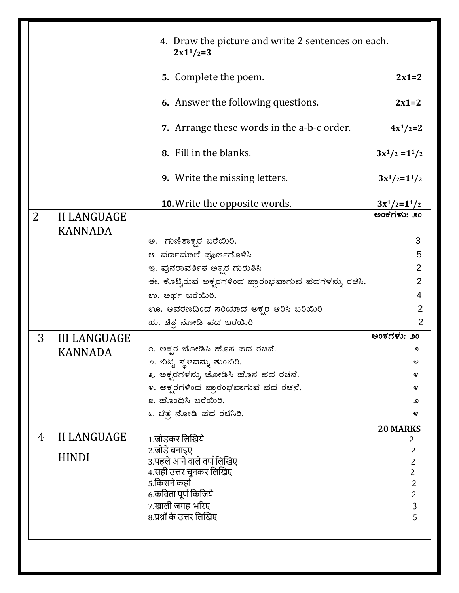|                |                                      | 4. Draw the picture and write 2 sentences on each.<br>$2x11/2=3$ |                                  |  |  |
|----------------|--------------------------------------|------------------------------------------------------------------|----------------------------------|--|--|
|                |                                      | 5. Complete the poem.                                            | $2x1=2$                          |  |  |
|                |                                      | 6. Answer the following questions.                               | $2x1=2$                          |  |  |
|                |                                      | 7. Arrange these words in the a-b-c order.                       | $4x^1/2=2$                       |  |  |
|                |                                      | 8. Fill in the blanks.                                           | $3x^1/2 = 1^1/2$                 |  |  |
|                |                                      | 9. Write the missing letters.                                    | $3x^1/2=1^1/2$                   |  |  |
|                |                                      | <b>10.</b> Write the opposite words.                             | $3x^1/2=1^1/2$<br>ಅಂಕಗಳು: ೨೦     |  |  |
| $\overline{2}$ | <b>II LANGUAGE</b><br><b>KANNADA</b> |                                                                  |                                  |  |  |
|                |                                      | ಅ. ಗುಣಿತಾಕ್ಖರ ಬರೆಯಿರಿ.                                           | 3                                |  |  |
|                |                                      | ಆ. ವರ್ಣಮಾಲೆ ಪೂರ್ಣಗೊಳಿಸಿ                                          | 5                                |  |  |
|                |                                      | ಇ. ಪುನರಾವರ್ತಿತ ಅಕ್ಖರ ಗುರುತಿಸಿ                                    | $\overline{2}$                   |  |  |
|                |                                      | ಈ. ಕೊಟ್ಟಿರುವ ಅಕ್ಖರಗಳಿಂದ ಪ್ರಾರಂಭವಾಗುವ ಪದಗಳನ್ನು ರಚಿಸಿ.             | $\overline{2}$                   |  |  |
|                |                                      | ಉ. ಅರ್ಥ ಬರೆಯಿರಿ.                                                 | 4                                |  |  |
|                |                                      | ಊ. ಆವರಣದಿಂದ ಸರಿಯಾದ ಅಕ್ಖರ ಆರಿಸಿ ಬರಿಯಿರಿ                           | $\overline{2}$                   |  |  |
|                |                                      | ಋ. ಚಿತ್ರ ನೋಡಿ ಪದ ಬರೆಯಿರಿ                                         | 2                                |  |  |
| 3              | <b>III LANGUAGE</b>                  |                                                                  | ಅಂಕಗಳು: ೨೦                       |  |  |
|                | <b>KANNADA</b>                       | ೧. ಅಕ್ಖರ ಜೋಡಿಸಿ ಹೊಸ ಪದ ರಚನೆ.                                     | ೨                                |  |  |
|                |                                      | ೨. ಬಿಟ್ಟ ಸ್ಥಳವನ್ನು ತುಂಬಿರಿ.                                      | ೪                                |  |  |
|                |                                      | ೩. ಅಕ್ಖರಗಳನ್ನು ಜೋಡಿಸಿ ಹೊಸ ಪದ ರಚನೆ.                               | ೪                                |  |  |
|                |                                      | ೪. ಅಕ್ಖರಗಳಿಂದ ಪ್ರಾರಂಭವಾಗುವ ಪದ ರಚನೆ.                              | ೪                                |  |  |
|                |                                      | ೫. ಹೊಂದಿಸಿ ಬರೆಯಿರಿ.                                              | ౨                                |  |  |
|                |                                      | ೬. ಚಿತ್ರ ನೋಡಿ ಪದ ರಚಿಸಿರಿ.                                        | ೪                                |  |  |
|                |                                      |                                                                  | <b>20 MARKS</b>                  |  |  |
| 4              | <b>II LANGUAGE</b>                   | 1.जोडकर लिखिये                                                   | $\overline{c}$                   |  |  |
|                | <b>HINDI</b>                         | 2.जोडे बनाइए<br>3.पहले आने वाले वर्ण लिखिए                       | 2                                |  |  |
|                |                                      | 4.सही उत्तर चुनकर लिखिए                                          | $\overline{c}$<br>$\overline{2}$ |  |  |
|                |                                      | 5.किसने कहां                                                     | $\overline{2}$                   |  |  |
|                |                                      | 6.कविता पूर्ण किजिये                                             | $\overline{c}$                   |  |  |
|                |                                      | 7.खाली जगह भरिए                                                  | $\overline{3}$                   |  |  |
|                |                                      | 8.प्रश्नों के उत्तर लिखिए                                        | 5                                |  |  |
|                |                                      |                                                                  |                                  |  |  |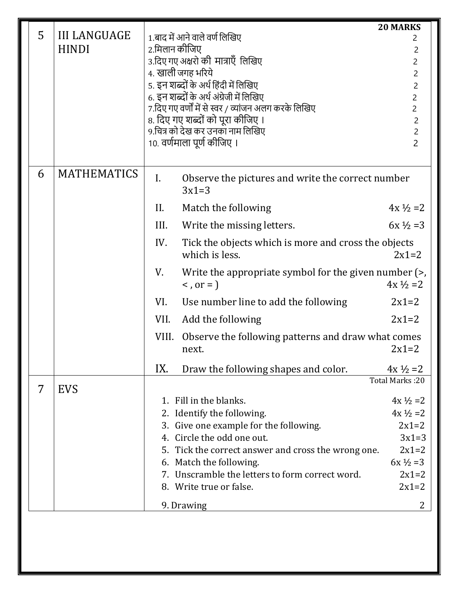|                |                    |                                                                                                            |                                                          | <b>20 MARKS</b>      |
|----------------|--------------------|------------------------------------------------------------------------------------------------------------|----------------------------------------------------------|----------------------|
| 5              |                    | <b>III LANGUAGE</b><br>1.बाद में आने वाले वर्ण लिखिए<br>2.मिलान कीजिए<br>3.दिए गए अक्षरो की मात्राएँ लिखिए |                                                          |                      |
|                | <b>HINDI</b>       |                                                                                                            |                                                          |                      |
|                |                    |                                                                                                            |                                                          |                      |
|                |                    |                                                                                                            | 4. खाली जगह भरिये                                        |                      |
|                |                    |                                                                                                            | 5. इन शब्दों के अर्थ हिंदी में लिखिए                     |                      |
|                |                    |                                                                                                            | 6. इन शब्दों के अर्थ अंग्रेजी में लिखिए                  |                      |
|                |                    |                                                                                                            | 7.दिए गए वर्णों में से स्वर / व्यांजन अलग करके लिखिए     |                      |
|                |                    |                                                                                                            | 8. दिए गए शब्दों को पूरा कीजिए ।                         |                      |
|                |                    |                                                                                                            | 9.चित्र को देख कर उनको नाम लिखिए                         |                      |
|                |                    |                                                                                                            | 10. वर्णमाला पूर्ण कीजिए ।                               |                      |
|                |                    |                                                                                                            |                                                          |                      |
| 6              | <b>MATHEMATICS</b> | Observe the pictures and write the correct number<br>$\mathbf{I}$ .                                        |                                                          |                      |
|                |                    |                                                                                                            | $3x1=3$                                                  |                      |
|                |                    |                                                                                                            |                                                          |                      |
|                |                    | II.                                                                                                        | Match the following                                      | $4x \frac{1}{2} = 2$ |
|                |                    | III.                                                                                                       | Write the missing letters.                               | $6x\frac{1}{2} = 3$  |
|                |                    | IV.                                                                                                        | Tick the objects which is more and cross the objects     |                      |
|                |                    |                                                                                                            | which is less.                                           | $2x1=2$              |
|                |                    |                                                                                                            |                                                          |                      |
|                |                    | V.                                                                                                         | Write the appropriate symbol for the given number (>,    |                      |
|                |                    |                                                                                                            | $\le$ , or = $\big)$                                     | $4x \frac{1}{2} = 2$ |
|                |                    | VI.                                                                                                        | Use number line to add the following                     | $2x1=2$              |
|                |                    | VII.                                                                                                       | Add the following                                        | $2x1=2$              |
|                |                    |                                                                                                            | VIII. Observe the following patterns and draw what comes |                      |
|                |                    |                                                                                                            | next.                                                    | $2x1=2$              |
|                |                    |                                                                                                            |                                                          |                      |
|                |                    | IX.                                                                                                        | Draw the following shapes and color.                     | $4x \frac{1}{2} = 2$ |
| $\overline{7}$ | EVS                |                                                                                                            |                                                          | Total Marks: 20      |
|                |                    |                                                                                                            | 1. Fill in the blanks.                                   | $4x \frac{1}{2} = 2$ |
|                |                    |                                                                                                            | 2. Identify the following.                               | $4x \frac{1}{2} = 2$ |
|                |                    |                                                                                                            | 3. Give one example for the following.                   | $2x1=2$              |
|                |                    |                                                                                                            | 4. Circle the odd one out.                               | $3x1=3$              |
|                |                    |                                                                                                            | 5. Tick the correct answer and cross the wrong one.      | $2x1=2$              |
|                |                    |                                                                                                            | 6. Match the following.                                  | $6x \frac{1}{2} = 3$ |
|                |                    |                                                                                                            | 7. Unscramble the letters to form correct word.          | $2x1=2$              |
|                |                    |                                                                                                            | 8. Write true or false.                                  | $2x1=2$              |
|                |                    |                                                                                                            | 9. Drawing                                               | 2                    |
|                |                    |                                                                                                            |                                                          |                      |